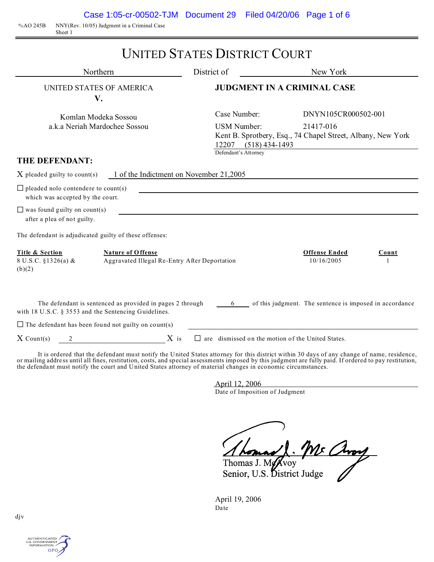OAO 245B NNY(Rev. 10/05) Judgment in a Criminal Case Sheet 1

|                                                                                | Northern                                                                                                          | District of                                                           | New York                                                                                        |       |  |
|--------------------------------------------------------------------------------|-------------------------------------------------------------------------------------------------------------------|-----------------------------------------------------------------------|-------------------------------------------------------------------------------------------------|-------|--|
|                                                                                | UNITED STATES OF AMERICA<br>V.                                                                                    |                                                                       | <b>JUDGMENT IN A CRIMINAL CASE</b>                                                              |       |  |
| Komlan Modeka Sossou<br>a.k.a Neriah Mardochee Sossou                          |                                                                                                                   | Case Number:<br><b>USM Number:</b><br>12207 (518) 434-1493            | DNYN105CR000502-001<br>21417-016<br>Kent B. Sprotbery, Esq., 74 Chapel Street, Albany, New York |       |  |
| THE DEFENDANT:                                                                 |                                                                                                                   | Defendant's Attorney                                                  |                                                                                                 |       |  |
| $X$ pleaded guilty to count(s)                                                 |                                                                                                                   | 1 of the Indictment on November 21,2005                               |                                                                                                 |       |  |
| $\Box$ pleaded nolo contendere to count(s)<br>which was accepted by the court. |                                                                                                                   | <u> 1989 - Johann Barbara, martxa eta politikaria (h. 1989).</u>      |                                                                                                 |       |  |
| $\Box$ was found guilty on count(s)<br>after a plea of not guilty.             |                                                                                                                   | <u> 1989 - Johann Barbara, martxa alemaniar argametria (h. 1989).</u> |                                                                                                 |       |  |
|                                                                                | The defendant is adjudicated guilty of these offenses:                                                            |                                                                       |                                                                                                 |       |  |
| Title & Section<br>8 U.S.C. §1326(a) &<br>(b)(2)                               | <b>Nature of Offense</b><br>Aggravated Illegal Re-Entry After Deportation                                         |                                                                       | <b>Offense Ended</b><br>10/16/2005                                                              | Count |  |
|                                                                                | The defendant is sentenced as provided in pages 2 through<br>with 18 U.S.C. § 3553 and the Sentencing Guidelines. | 6 —                                                                   | of this judgment. The sentence is imposed in accordance                                         |       |  |

It is ordered that the defendant must notify the United States attorney for this district within 30 days of any change of name, residence, or mailing address until all fines, restitution, costs, and special assessments imposed by this judgment are fully paid. If ordered to pay restitution, the defendant must notify the court and United States attorney of material changes in economic circumstances.

> April 12, 2006 Date of Imposition of Judgment

Thomas J. Mr Avoy

April 19, 2006 Date

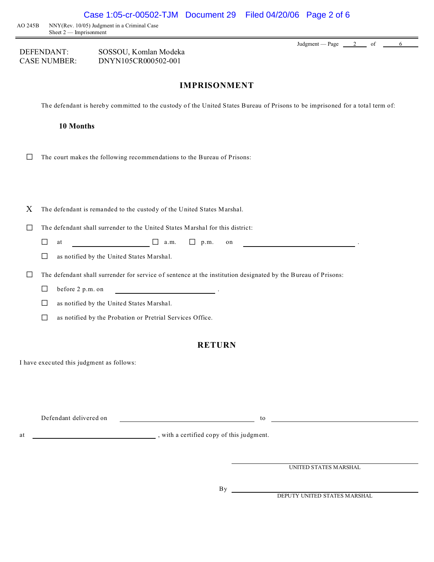AO 245B NNY(Rev. 10/05) Judgment in a Criminal Case Sheet 2 — Imprisonment

| DEFENDANT:          | SOSSOU, Komlan Modeka |
|---------------------|-----------------------|
| <b>CASE NUMBER:</b> | DNYN105CR000502-001   |

## **IMPRISONMENT**

The defendant is hereby committed to the custody of the United States Bureau of Prisons to be imprisoned for a total term of:

#### **10 Months**

 $\Box$  The court makes the following recommendations to the Bureau of Prisons:

X The defendant is remanded to the custody of the United States Marshal.

 $\Box$  The defendant shall surrender to the United States Marshal for this district:

- $\Box$  at  $\Box$  a.m.  $\Box$  p.m. on
- $\Box$  as notified by the United States Marshal.
- $\Box$  The defendant shall surrender for service of sentence at the institution designated by the Bureau of Prisons:
	- $\Box$  before 2 p.m. on
	- $\Box$  as notified by the United States Marshal.
	- $\Box$  as notified by the Probation or Pretrial Services Office.

### **RETURN**

I have executed this judgment as follows:

Defendant delivered on to the contract of the contract of the contract of the contract of the contract of the contract of the contract of the contract of the contract of the contract of the contract of the contract of the

at  $\qquad \qquad$  , with a certified copy of this judgment.

UNITED STATES MARSHAL

Judgment — Page  $\begin{array}{|c} 2 \\ 6 \end{array}$  of 6

 $By \_\_$ 

DEPUTY UNITED STATES MARSHAL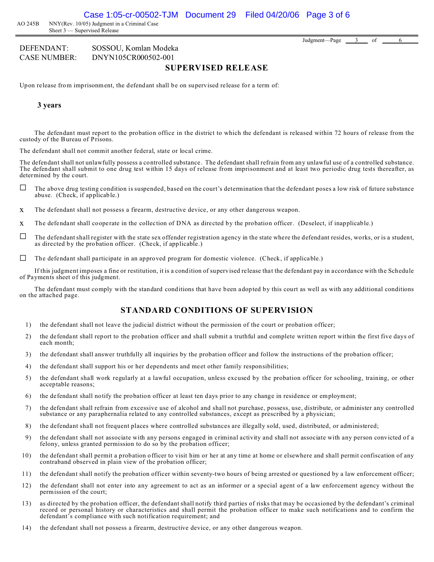AO 245B NNY(Rev. 10/05) Judgment in a Criminal Case Sheet 3 — Supervised Release

DEFENDANT: SOSSOU, Komlan Modeka CASE NUMBER: DNYN105CR000502-001

Judgment—Page  $3$  of 6

## **SUPERVISED RELEASE**

Upon release from imprisonment, the defendant shall be on supervised release for a term of:

#### **3 years**

The defendant must report to the probation office in the district to which the defendant is released within 72 hours of release from the custody of the Bureau of Prisons.

The defendant shall not commit another federal, state or local crime.

The defendant shall not unlawfully possess a controlled substance. The defendant shall refrain from any unlawful use of a controlled substance. The defendant shall submit to one drug test within 15 days of release from imprisonment and at least two periodic drug tests thereafter, as determined by the court.

- $\Box$  The above drug testing condition is suspended, based on the court's determination that the defendant poses a low risk of future substance abuse. (Check, if applicable.)
- x The defendant shall not possess a firearm, destructive device, or any other dangerous weapon.
- x The defendant shall cooperate in the collection of DNA as directed by the probation officer. (Deselect, if inapplicable.)
- $\Box$  The defendant shall register with the state sex offender registration agency in the state where the defendant resides, works, or is a student, as directed by the probation officer. (Check, if applicable.)
- $\Box$  The defendant shall participate in an approved program for domestic violence. (Check, if applicable.)

If this judgment imposes a fine or restitution, it is a condition of supervised release that the defendant pay in accordance with the Schedule of Payments sheet of this judgment.

The defendant must comply with the standard conditions that have been adopted by this court as well as with any additional conditions on the attached page.

### **STANDARD CONDITIONS OF SUPERVISION**

- 1) the defendant shall not leave the judicial district without the permission of the court or probation officer;
- 2) the defendant shall report to the probation officer and shall submit a truthful and complete written report within the first five days of each month;
- 3) the defendant shall answer truthfully all inquiries by the probation officer and follow the instructions of the probation officer;
- 4) the defendant shall support his or her dependents and meet other family responsibilities;
- 5) the defendant shall work regularly at a lawful occupation, unless excused by the probation officer for schooling, training, or other acceptable reasons;
- 6) the defendant shall notify the probation officer at least ten days prior to any change in residence or employment;
- 7) the defendant shall refrain from excessive use of alcohol and shall not purchase, possess, use, distribute, or administer any controlled substance or any paraphernalia related to any controlled substances, except as prescribed by a physician;
- 8) the defendant shall not frequent places where controlled substances are illegally sold, used, distributed, or administered;
- 9) the defendant shall not associate with any persons engaged in criminal activity and shall not associate with any person convicted of a felony, unless granted permission to do so by the probation officer;
- 10) the defendant shall permit a probation officer to visit him or her at any time at home or elsewhere and shall permit confiscation of any contraband observed in plain view of the probation officer;
- 11) the defendant shall notify the probation officer within seventy-two hours of being arrested or questioned by a law enforcement officer;
- 12) the defendant shall not enter into any agreement to act as an informer or a special agent of a law enforcement agency without the permission of the court;
- 13) as directed by the probation officer, the defendant shall notify third parties of risks that may be occasioned by the defendant's criminal record or personal history or characteristics and shall permit the probation officer to make such notifications and to confirm the defendant's compliance with such notification requirement; and
- 14) the defendant shall not possess a firearm, destructive device, or any other dangerous weapon.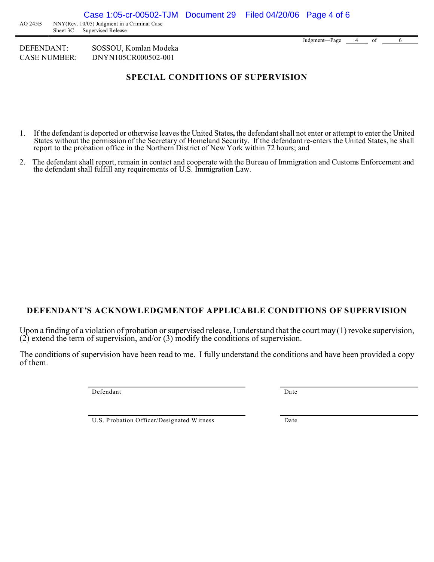DEFENDANT: SOSSOU, Komlan Modeka CASE NUMBER: DNYN105CR000502-001

# **SPECIAL CONDITIONS OF SUPERVISION**

- 1. If the defendant is deported or otherwise leaves the United States**,** the defendant shall not enter or attempt to enter the United States without the permission of the Secretary of Homeland Security. If the defendant re-enters the United States, he shall report to the probation office in the Northern District of New York within 72 hours; and
- 2. The defendant shall report, remain in contact and cooperate with the Bureau of Immigration and Customs Enforcement and the defendant shall fulfill any requirements of U.S. Immigration Law.

# **DEFENDANT'S ACKNOWLEDGMENTOF APPLICABLE CONDITIONS OF SUPERVISION**

Upon a finding of a violation of probation or supervised release, I understand that the court may (1) revoke supervision,  $(2)$  extend the term of supervision, and/or  $(3)$  modify the conditions of supervision.

The conditions of supervision have been read to me. I fully understand the conditions and have been provided a copy of them.

Defendant Date

U.S. Probation Officer/Designated Witness Date

Judgment—Page  $4$  of  $6$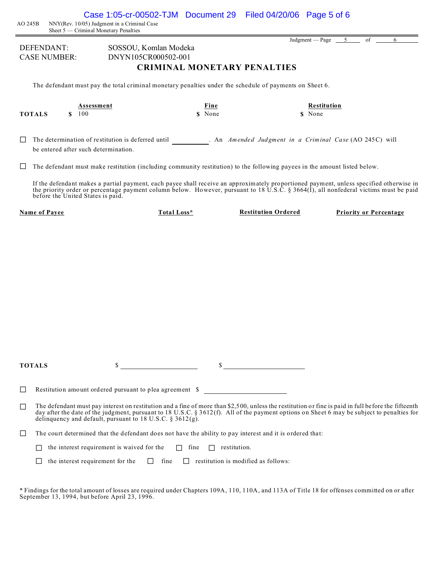| AO 245B | Case 1:05-cr-00502-TJM Document 29<br>NNY(Rev. 10/05) Judgment in a Criminal Case<br>Sheet 5 — Criminal Monetary Penalties                                                                                                                                                                                                                                         |                                            | Filed 04/20/06 Page 5 of 6 |                                                         |
|---------|--------------------------------------------------------------------------------------------------------------------------------------------------------------------------------------------------------------------------------------------------------------------------------------------------------------------------------------------------------------------|--------------------------------------------|----------------------------|---------------------------------------------------------|
|         | DEFENDANT:<br>SOSSOU, Komlan Modeka<br>DNYN105CR000502-001<br><b>CASE NUMBER:</b>                                                                                                                                                                                                                                                                                  | <b>CRIMINAL MONETARY PENALTIES</b>         |                            | Judgment — Page $\frac{5}{2}$<br>of<br>6                |
|         | The defendant must pay the total criminal monetary penalties under the schedule of payments on Sheet 6.                                                                                                                                                                                                                                                            |                                            |                            |                                                         |
|         | Assessment<br>100<br><b>TOTALS</b><br>\$                                                                                                                                                                                                                                                                                                                           | Fine<br>\$ None                            |                            | <b>Restitution</b><br>\$ None                           |
|         | The determination of restitution is deferred until<br>be entered after such determination.                                                                                                                                                                                                                                                                         |                                            |                            | . An Amended Judgment in a Criminal Case (AO 245C) will |
|         | The defendant must make restitution (including community restitution) to the following payees in the amount listed below.                                                                                                                                                                                                                                          |                                            |                            |                                                         |
|         | If the defendant makes a partial payment, each payee shall receive an approximately proportioned payment, unless specified otherwise in<br>the priority order or percentage payment column below. However, pursuant to 18 U.S.C. § 3664(1), all nonfederal victims must be paid<br>before the United States is paid.                                               |                                            |                            |                                                         |
|         | Name of Payee<br>Total Loss*                                                                                                                                                                                                                                                                                                                                       |                                            | <b>Restitution Ordered</b> | <b>Priority or Percentage</b>                           |
|         |                                                                                                                                                                                                                                                                                                                                                                    |                                            |                            |                                                         |
|         | \$<br><b>TOTALS</b>                                                                                                                                                                                                                                                                                                                                                |                                            | $\sim$                     |                                                         |
| ΙI      | Restitution amount ordered pursuant to plea agreement \$                                                                                                                                                                                                                                                                                                           |                                            |                            |                                                         |
| ΙI      | The defendant must pay interest on restitution and a fine of more than \$2,500, unless the restitution or fine is paid in full before the fifteenth<br>day after the date of the judgment, pursuant to 18 U.S.C. § 3612(f). All of the payment options on Sheet 6 may be subject to penalties for<br>delinquency and default, pursuant to 18 U.S.C. $\S 3612(g)$ . |                                            |                            |                                                         |
| ப       | The court determined that the defendant does not have the ability to pay interest and it is ordered that:                                                                                                                                                                                                                                                          |                                            |                            |                                                         |
|         | the interest requirement is waived for the                                                                                                                                                                                                                                                                                                                         | $\Box$ fine<br>$\Box$ restitution.         |                            |                                                         |
|         | $\Box$ fine<br>the interest requirement for the                                                                                                                                                                                                                                                                                                                    | $\Box$ restitution is modified as follows: |                            |                                                         |
|         | * Findings for the total amount of losses are required under Chapters 109A, 110, 110A, and 113A of Title 18 for offenses committed on or after<br>September 13, 1994, but before April 23, 1996.                                                                                                                                                                   |                                            |                            |                                                         |